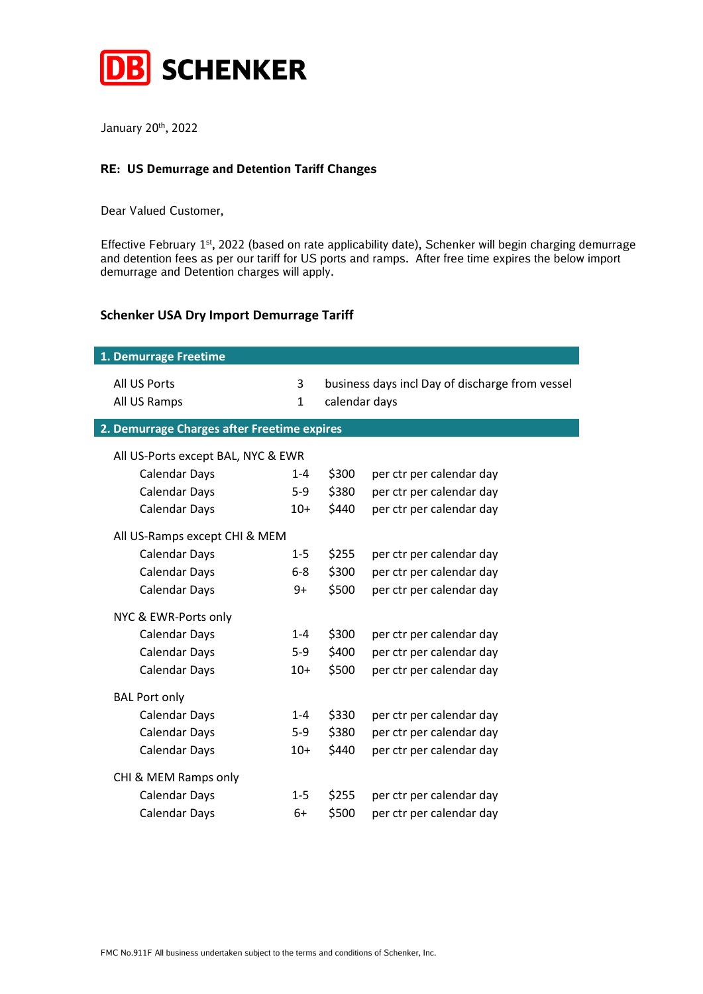

January 20<sup>th</sup>, 2022

## **RE: US Demurrage and Detention Tariff Changes**

Dear Valued Customer,

Effective February  $1<sup>st</sup>$ , 2022 (based on rate applicability date), Schenker will begin charging demurrage and detention fees as per our tariff for US ports and ramps. After free time expires the below import demurrage and Detention charges will apply.

## **Schenker USA Dry Import Demurrage Tariff**

| 1. Demurrage Freetime                       |         |               |                                                 |
|---------------------------------------------|---------|---------------|-------------------------------------------------|
| All US Ports<br>All US Ramps                | 3<br>1  | calendar days | business days incl Day of discharge from vessel |
| 2. Demurrage Charges after Freetime expires |         |               |                                                 |
| All US-Ports except BAL, NYC & EWR          |         |               |                                                 |
| <b>Calendar Days</b>                        | $1 - 4$ | \$300         | per ctr per calendar day                        |
| <b>Calendar Days</b>                        | $5-9$   | \$380         | per ctr per calendar day                        |
| <b>Calendar Days</b>                        | $10+$   | \$440         | per ctr per calendar day                        |
| All US-Ramps except CHI & MEM               |         |               |                                                 |
| <b>Calendar Days</b>                        | $1 - 5$ | \$255         | per ctr per calendar day                        |
| <b>Calendar Days</b>                        | $6 - 8$ | \$300         | per ctr per calendar day                        |
| <b>Calendar Days</b>                        | 9+      | \$500         | per ctr per calendar day                        |
| NYC & EWR-Ports only                        |         |               |                                                 |
| <b>Calendar Days</b>                        | $1 - 4$ | \$300         | per ctr per calendar day                        |
| <b>Calendar Days</b>                        | $5-9$   | \$400         | per ctr per calendar day                        |
| <b>Calendar Days</b>                        | $10+$   | \$500         | per ctr per calendar day                        |
| <b>BAL Port only</b>                        |         |               |                                                 |
| <b>Calendar Days</b>                        | $1 - 4$ | \$330         | per ctr per calendar day                        |
| <b>Calendar Days</b>                        | $5-9$   | \$380         | per ctr per calendar day                        |
| <b>Calendar Days</b>                        | $10+$   | \$440         | per ctr per calendar day                        |
| CHI & MEM Ramps only                        |         |               |                                                 |
| <b>Calendar Days</b>                        | $1 - 5$ | \$255         | per ctr per calendar day                        |
| <b>Calendar Days</b>                        | 6+      | \$500         | per ctr per calendar day                        |
|                                             |         |               |                                                 |